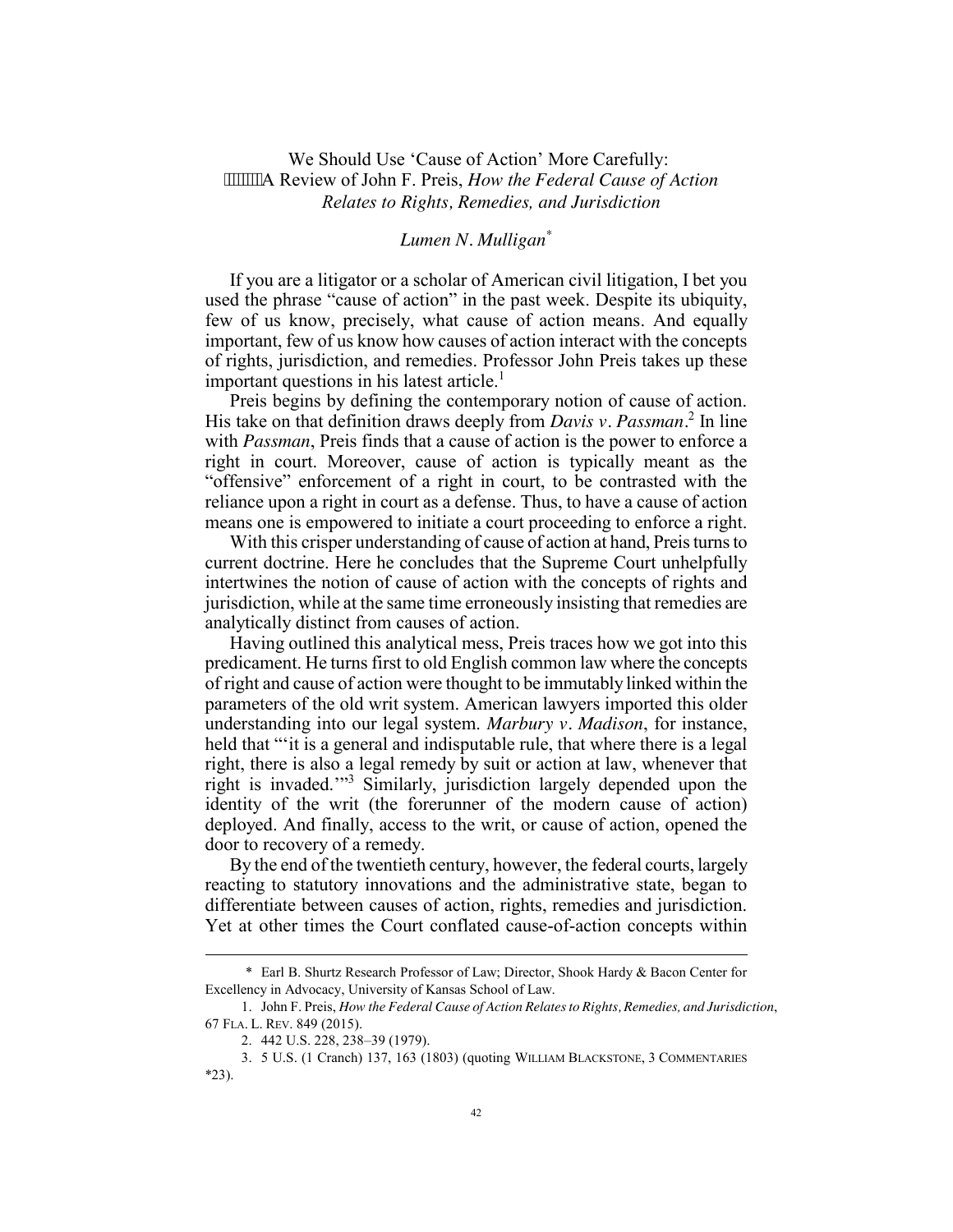## We Should Use 'Cause of Action' More Carefully: A Review of John F. Preis, *How the Federal Cause of Action Relates to Rights, Remedies, and Jurisdiction*

## *Lumen N. Mulligan\**

If you are a litigator or a scholar of American civil litigation, I bet you used the phrase "cause of action" in the past week. Despite its ubiquity, few of us know, precisely, what cause of action means. And equally important, few of us know how causes of action interact with the concepts of rights, jurisdiction, and remedies. Professor John Preis takes up these important questions in his latest article.<sup>1</sup>

Preis begins by defining the contemporary notion of cause of action. His take on that definition draws deeply from *Davis v. Passman.*<sup>2</sup> In line with *Passman*, Preis finds that a cause of action is the power to enforce a right in court. Moreover, cause of action is typically meant as the "offensive" enforcement of a right in court, to be contrasted with the reliance upon a right in court as a defense. Thus, to have a cause of action means one is empowered to initiate a court proceeding to enforce a right.

With this crisper understanding of cause of action at hand, Preis turns to current doctrine. Here he concludes that the Supreme Court unhelpfully intertwines the notion of cause of action with the concepts of rights and jurisdiction, while at the same time erroneously insisting that remedies are analytically distinct from causes of action.

Having outlined this analytical mess, Preis traces how we got into this predicament. He turns first to old English common law where the concepts of right and cause of action were thought to be immutably linked within the parameters of the old writ system. American lawyers imported this older understanding into our legal system. *Marbury v. Madison*, for instance, held that ""it is a general and indisputable rule, that where there is a legal right, there is also a legal remedy by suit or action at law, whenever that right is invaded.'"<sup>3</sup> Similarly, jurisdiction largely depended upon the identity of the writ (the forerunner of the modern cause of action) deployed. And finally, access to the writ, or cause of action, opened the door to recovery of a remedy.

By the end of the twentieth century, however, the federal courts, largely reacting to statutory innovations and the administrative state, began to differentiate between causes of action, rights, remedies and jurisdiction. Yet at other times the Court conflated cause-of-action concepts within

<sup>\*</sup> Earl B. Shurtz Research Professor of Law; Director, Shook Hardy & Bacon Center for Excellency in Advocacy, University of Kansas School of Law.

<sup>1.</sup> John F. Preis, *How the Federal Cause of Action Relatesto Rights, Remedies, and Jurisdiction*, 67 FLA. L. REV. 849 (2015).

<sup>2. 442</sup> U.S. 228, 238–39 (1979).

<sup>3. 5</sup> U.S. (1 Cranch) 137, 163 (1803) (quoting WILLIAM BLACKSTONE, 3 COMMENTARIES \*23).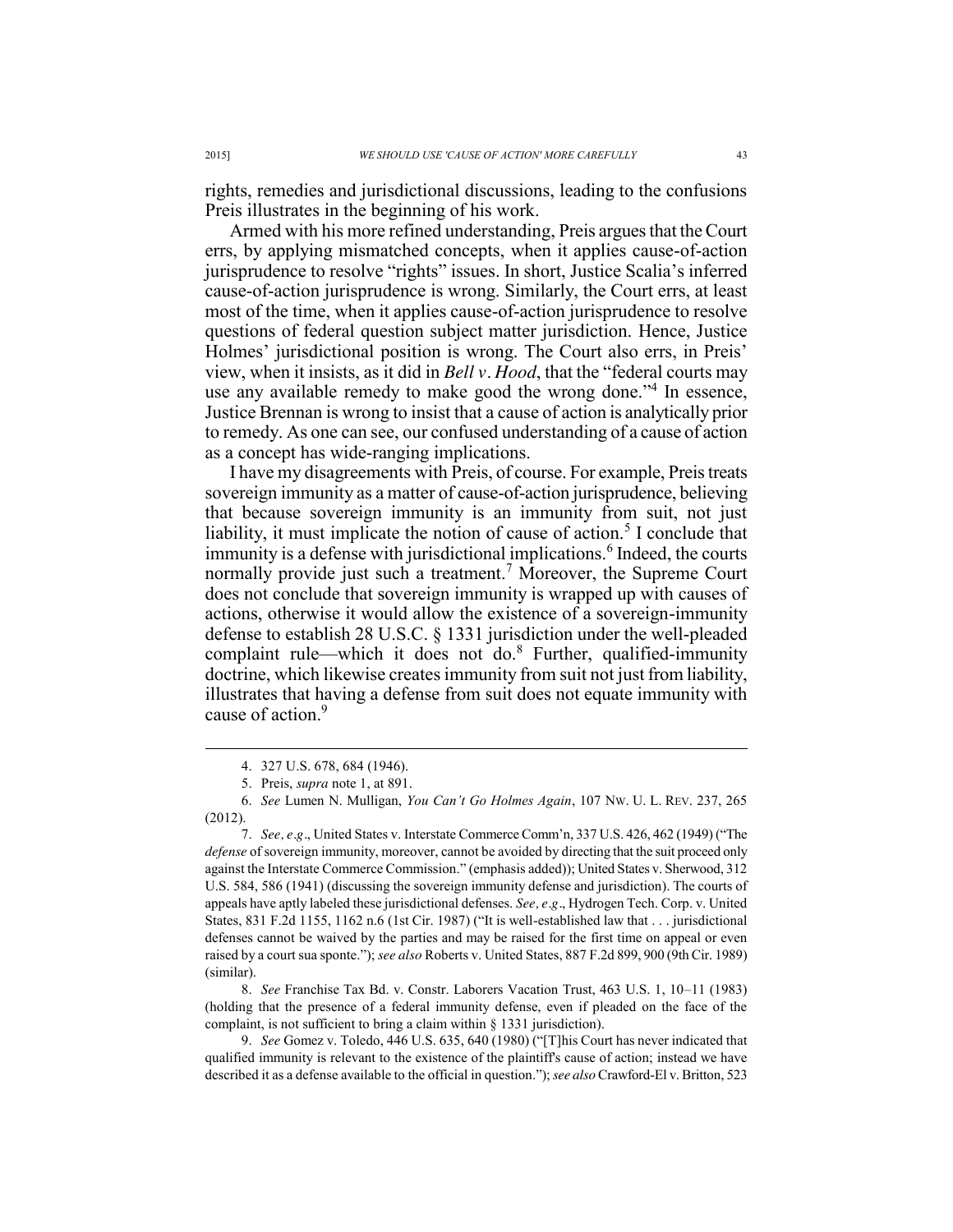rights, remedies and jurisdictional discussions, leading to the confusions Preis illustrates in the beginning of his work.

Armed with his more refined understanding, Preis argues that the Court errs, by applying mismatched concepts, when it applies cause-of-action jurisprudence to resolve "rights" issues. In short, Justice Scalia's inferred cause-of-action jurisprudence is wrong. Similarly, the Court errs, at least most of the time, when it applies cause-of-action jurisprudence to resolve questions of federal question subject matter jurisdiction. Hence, Justice Holmes' jurisdictional position is wrong. The Court also errs, in Preis' view, when it insists, as it did in *Bell v. Hood*, that the "federal courts may use any available remedy to make good the wrong done."<sup>4</sup> In essence, Justice Brennan is wrong to insist that a cause of action is analytically prior to remedy. As one can see, our confused understanding of a cause of action as a concept has wide-ranging implications.

I have my disagreements with Preis, of course. For example, Preis treats sovereign immunity as a matter of cause-of-action jurisprudence, believing that because sovereign immunity is an immunity from suit, not just liability, it must implicate the notion of cause of action.<sup>5</sup> I conclude that immunity is a defense with jurisdictional implications.<sup>6</sup> Indeed, the courts normally provide just such a treatment.<sup>7</sup> Moreover, the Supreme Court does not conclude that sovereign immunity is wrapped up with causes of actions, otherwise it would allow the existence of a sovereign-immunity defense to establish 28 U.S.C. § 1331 jurisdiction under the well-pleaded complaint rule—which it does not do.<sup>8</sup> Further, qualified-immunity doctrine, which likewise creates immunity from suit not just from liability, illustrates that having a defense from suit does not equate immunity with cause of action.<sup>9</sup>

8. *See* Franchise Tax Bd. v. Constr. Laborers Vacation Trust, 463 U.S. 1, 10–11 (1983) (holding that the presence of a federal immunity defense, even if pleaded on the face of the complaint, is not sufficient to bring a claim within § 1331 jurisdiction).

9. *See* Gomez v. Toledo, 446 U.S. 635, 640 (1980) ("[T]his Court has never indicated that qualified immunity is relevant to the existence of the plaintiff's cause of action; instead we have described it as a defense available to the official in question."); *see also* Crawford-El v. Britton, 523

 <sup>4. 327</sup> U.S. 678, 684 (1946).

<sup>5.</sup> Preis, *supra* note 1, at 891.

<sup>6.</sup> *See* Lumen N. Mulligan, *You Can't Go Holmes Again*, 107 NW. U. L. REV. 237, 265 (2012).

<sup>7.</sup> *See, e.g.*, United States v. Interstate Commerce Comm'n, 337 U.S. 426, 462 (1949) ("The *defense* of sovereign immunity, moreover, cannot be avoided by directing that the suit proceed only against the Interstate Commerce Commission." (emphasis added)); United States v. Sherwood, 312 U.S. 584, 586 (1941) (discussing the sovereign immunity defense and jurisdiction). The courts of appeals have aptly labeled these jurisdictional defenses. *See, e.g.*, Hydrogen Tech. Corp. v. United States, 831 F.2d 1155, 1162 n.6 (1st Cir. 1987) ("It is well-established law that . . . jurisdictional defenses cannot be waived by the parties and may be raised for the first time on appeal or even raised by a court sua sponte."); *see also* Roberts v. United States, 887 F.2d 899, 900 (9th Cir. 1989) (similar).